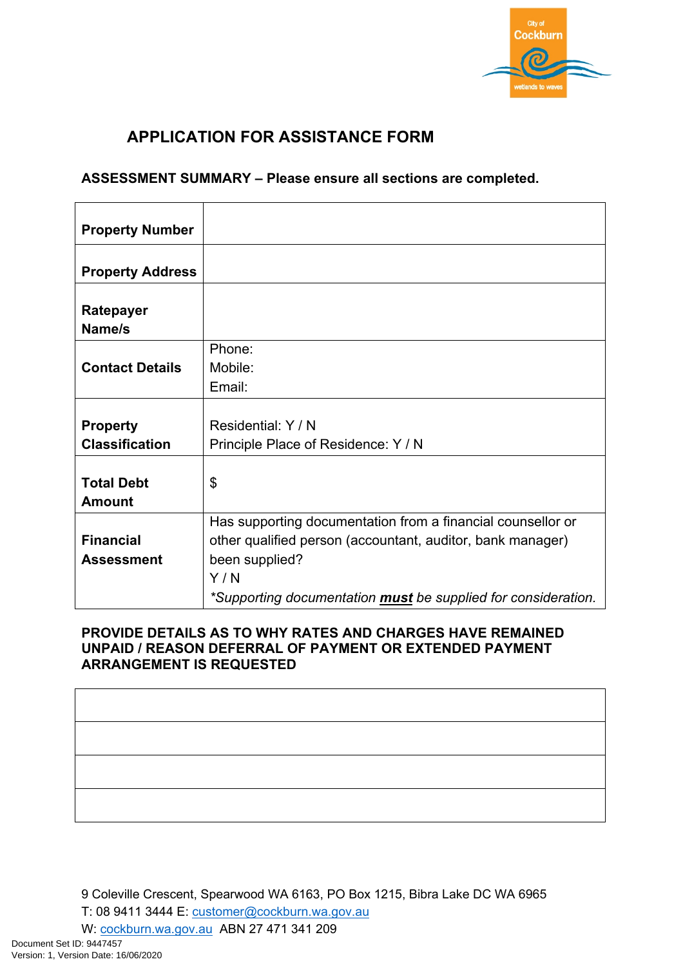

## **APPLICATION FOR ASSISTANCE FORM**

## **ASSESSMENT SUMMARY – Please ensure all sections are completed.**

| <b>Property Number</b>                   |                                                                                                                                                                                                                     |
|------------------------------------------|---------------------------------------------------------------------------------------------------------------------------------------------------------------------------------------------------------------------|
| <b>Property Address</b>                  |                                                                                                                                                                                                                     |
| Ratepayer<br>Name/s                      |                                                                                                                                                                                                                     |
| <b>Contact Details</b>                   | Phone:<br>Mobile:<br>Email:                                                                                                                                                                                         |
| <b>Property</b><br><b>Classification</b> | Residential: Y / N<br>Principle Place of Residence: Y / N                                                                                                                                                           |
| <b>Total Debt</b><br><b>Amount</b>       | \$                                                                                                                                                                                                                  |
| <b>Financial</b><br><b>Assessment</b>    | Has supporting documentation from a financial counsellor or<br>other qualified person (accountant, auditor, bank manager)<br>been supplied?<br>Y/N<br>*Supporting documentation must be supplied for consideration. |

## **PROVIDE DETAILS AS TO WHY RATES AND CHARGES HAVE REMAINED UNPAID / REASON DEFERRAL OF PAYMENT OR EXTENDED PAYMENT ARRANGEMENT IS REQUESTED**

9 Coleville Crescent, Spearwood WA 6163, PO Box 1215, Bibra Lake DC WA 6965

T: 08 9411 3444 E: [customer@cockburn.wa.gov.au](mailto:customer@cockburn.wa.gov.au) 

W: [cockburn.wa.gov.au](https://www.cockburn.wa.gov.au/) ABN 27 471 341 209